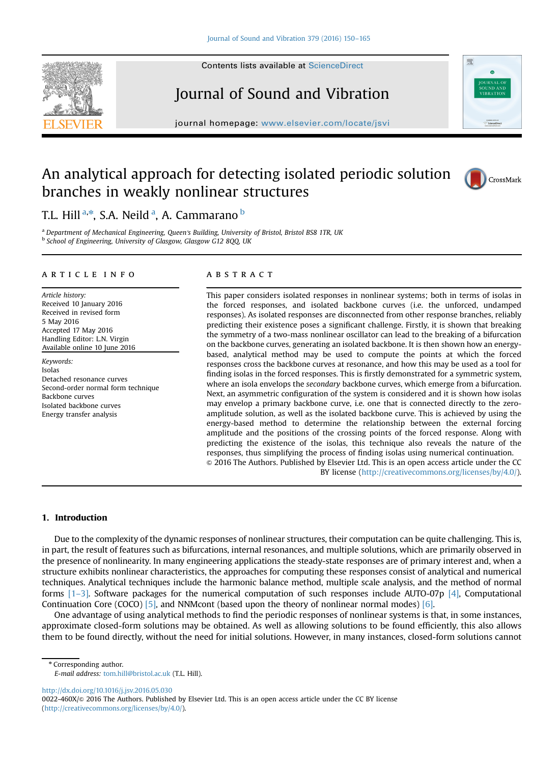



journal homepage: <www.elsevier.com/locate/jsvi>

# An analytical approach for detecting isolated periodic solution branches in weakly nonlinear structures



珊

## T.L. Hill <sup>a,\*</sup>, S.A. Neild <sup>a</sup>, A. Cammarano <sup>b</sup>

a Department of Mechanical Engineering, Queen's Building, University of Bristol, Bristol BS8 1TR, UK **b School of Engineering, University of Glasgow, Glasgow G12 8QQ, UK** 

#### article info

Article history: Received 10 January 2016 Received in revised form 5 May 2016 Accepted 17 May 2016 Handling Editor: L.N. Virgin Available online 10 June 2016

Keywords: Isolas Detached resonance curves Second-order normal form technique Backbone curves Isolated backbone curves Energy transfer analysis

#### **ABSTRACT**

This paper considers isolated responses in nonlinear systems; both in terms of isolas in the forced responses, and isolated backbone curves (i.e. the unforced, undamped responses). As isolated responses are disconnected from other response branches, reliably predicting their existence poses a significant challenge. Firstly, it is shown that breaking the symmetry of a two-mass nonlinear oscillator can lead to the breaking of a bifurcation on the backbone curves, generating an isolated backbone. It is then shown how an energybased, analytical method may be used to compute the points at which the forced responses cross the backbone curves at resonance, and how this may be used as a tool for finding isolas in the forced responses. This is firstly demonstrated for a symmetric system, where an isola envelops the *secondary* backbone curves, which emerge from a bifurcation. Next, an asymmetric configuration of the system is considered and it is shown how isolas may envelop a primary backbone curve, i.e. one that is connected directly to the zeroamplitude solution, as well as the isolated backbone curve. This is achieved by using the energy-based method to determine the relationship between the external forcing amplitude and the positions of the crossing points of the forced response. Along with predicting the existence of the isolas, this technique also reveals the nature of the responses, thus simplifying the process of finding isolas using numerical continuation. & 2016 The Authors. Published by Elsevier Ltd. This is an open access article under the CC BY license (http://creativecommons.org/licenses/by/4.0/).

#### 1. Introduction

Due to the complexity of the dynamic responses of nonlinear structures, their computation can be quite challenging. This is, in part, the result of features such as bifurcations, internal resonances, and multiple solutions, which are primarily observed in the presence of nonlinearity. In many engineering applications the steady-state responses are of primary interest and, when a structure exhibits nonlinear characteristics, the approaches for computing these responses consist of analytical and numerical techniques. Analytical techniques include the harmonic balance method, multiple scale analysis, and the method of normal forms  $[1-3]$  $[1-3]$ . Software packages for the numerical computation of such responses include AUTO-07p [\[4\]](#page-14-0), Computational Continuation Core (COCO) [\[5\],](#page-14-0) and NNMcont (based upon the theory of nonlinear normal modes) [\[6\]](#page-14-0).

One advantage of using analytical methods to find the periodic responses of nonlinear systems is that, in some instances, approximate closed-form solutions may be obtained. As well as allowing solutions to be found efficiently, this also allows them to be found directly, without the need for initial solutions. However, in many instances, closed-form solutions cannot

\* Corresponding author.

<http://dx.doi.org/10.1016/j.jsv.2016.05.030> 0022-460X/© 2016 The Authors. Published by Elsevier Ltd. This is an open access article under the CC BY license (http://creativecommons.org/licenses/by/4.0/).

E-mail address: [tom.hill@bristol.ac.uk](mailto:tom.hill@bristol.ac.uk) (T.L. Hill).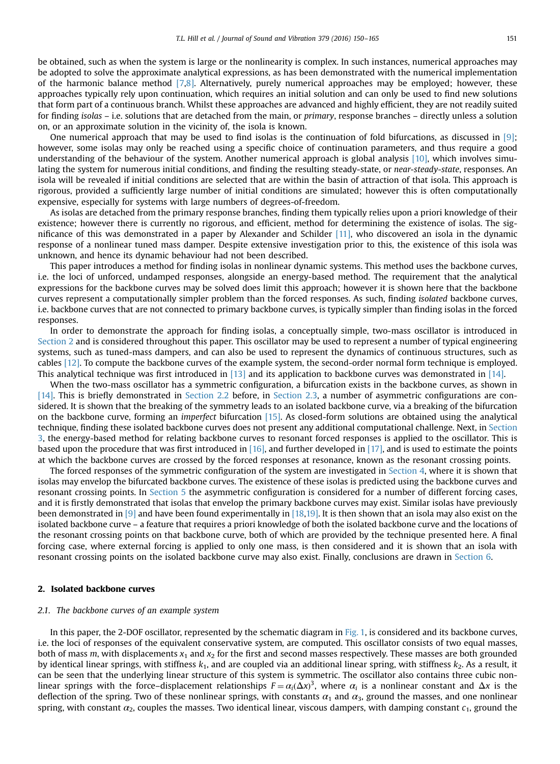<span id="page-1-0"></span>be obtained, such as when the system is large or the nonlinearity is complex. In such instances, numerical approaches may be adopted to solve the approximate analytical expressions, as has been demonstrated with the numerical implementation of the harmonic balance method [\[7](#page-14-0)[,8\].](#page-15-0) Alternatively, purely numerical approaches may be employed; however, these approaches typically rely upon continuation, which requires an initial solution and can only be used to find new solutions that form part of a continuous branch. Whilst these approaches are advanced and highly efficient, they are not readily suited for finding isolas – i.e. solutions that are detached from the main, or primary, response branches – directly unless a solution on, or an approximate solution in the vicinity of, the isola is known.

One numerical approach that may be used to find isolas is the continuation of fold bifurcations, as discussed in [\[9\]](#page-15-0); however, some isolas may only be reached using a specific choice of continuation parameters, and thus require a good understanding of the behaviour of the system. Another numerical approach is global analysis [\[10\],](#page-15-0) which involves simulating the system for numerous initial conditions, and finding the resulting steady-state, or near-steady-state, responses. An isola will be revealed if initial conditions are selected that are within the basin of attraction of that isola. This approach is rigorous, provided a sufficiently large number of initial conditions are simulated; however this is often computationally expensive, especially for systems with large numbers of degrees-of-freedom.

As isolas are detached from the primary response branches, finding them typically relies upon a priori knowledge of their existence; however there is currently no rigorous, and efficient, method for determining the existence of isolas. The significance of this was demonstrated in a paper by Alexander and Schilder [\[11\],](#page-15-0) who discovered an isola in the dynamic response of a nonlinear tuned mass damper. Despite extensive investigation prior to this, the existence of this isola was unknown, and hence its dynamic behaviour had not been described.

This paper introduces a method for finding isolas in nonlinear dynamic systems. This method uses the backbone curves, i.e. the loci of unforced, undamped responses, alongside an energy-based method. The requirement that the analytical expressions for the backbone curves may be solved does limit this approach; however it is shown here that the backbone curves represent a computationally simpler problem than the forced responses. As such, finding isolated backbone curves, i.e. backbone curves that are not connected to primary backbone curves, is typically simpler than finding isolas in the forced responses.

In order to demonstrate the approach for finding isolas, a conceptually simple, two-mass oscillator is introduced in Section 2 and is considered throughout this paper. This oscillator may be used to represent a number of typical engineering systems, such as tuned-mass dampers, and can also be used to represent the dynamics of continuous structures, such as cables [\[12\]](#page-15-0). To compute the backbone curves of the example system, the second-order normal form technique is employed. This analytical technique was first introduced in [\[13\]](#page-15-0) and its application to backbone curves was demonstrated in [\[14\].](#page-15-0)

When the two-mass oscillator has a symmetric configuration, a bifurcation exists in the backbone curves, as shown in [\[14\].](#page-15-0) This is briefly demonstrated in [Section 2.2](#page-4-0) before, in [Section 2.3,](#page-6-0) a number of asymmetric configurations are considered. It is shown that the breaking of the symmetry leads to an isolated backbone curve, via a breaking of the bifurcation on the backbone curve, forming an imperfect bifurcation [\[15\].](#page-15-0) As closed-form solutions are obtained using the analytical technique, finding these isolated backbone curves does not present any additional computational challenge. Next, in [Section](#page-7-0) [3,](#page-7-0) the energy-based method for relating backbone curves to resonant forced responses is applied to the oscillator. This is based upon the procedure that was first introduced in [\[16\]](#page-15-0), and further developed in [\[17\],](#page-15-0) and is used to estimate the points at which the backbone curves are crossed by the forced responses at resonance, known as the resonant crossing points.

The forced responses of the symmetric configuration of the system are investigated in [Section 4,](#page-9-0) where it is shown that isolas may envelop the bifurcated backbone curves. The existence of these isolas is predicted using the backbone curves and resonant crossing points. In [Section 5](#page-11-0) the asymmetric configuration is considered for a number of different forcing cases, and it is firstly demonstrated that isolas that envelop the primary backbone curves may exist. Similar isolas have previously been demonstrated in [\[9\]](#page-15-0) and have been found experimentally in [\[18,19\]](#page-15-0). It is then shown that an isola may also exist on the isolated backbone curve – a feature that requires a priori knowledge of both the isolated backbone curve and the locations of the resonant crossing points on that backbone curve, both of which are provided by the technique presented here. A final forcing case, where external forcing is applied to only one mass, is then considered and it is shown that an isola with resonant crossing points on the isolated backbone curve may also exist. Finally, conclusions are drawn in [Section 6](#page-13-0).

#### 2. Isolated backbone curves

#### 2.1. The backbone curves of an example system

In this paper, the 2-DOF oscillator, represented by the schematic diagram in [Fig. 1,](#page-2-0) is considered and its backbone curves, i.e. the loci of responses of the equivalent conservative system, are computed. This oscillator consists of two equal masses, both of mass m, with displacements  $x_1$  and  $x_2$  for the first and second masses respectively. These masses are both grounded by identical linear springs, with stiffness  $k_1$ , and are coupled via an additional linear spring, with stiffness  $k_2$ . As a result, it can be seen that the underlying linear structure of this system is symmetric. The oscillator also contains three cubic nonlinear springs with the force–displacement relationships  $F = \alpha_i (\Delta x)^3$ , where  $\alpha_i$  is a nonlinear constant and  $\Delta x$  is the deflection of the spring. Two of these nonlinear springs, with constants  $\alpha_1$  and  $\alpha_3$ , ground the masses, and one nonlinear spring, with constant  $\alpha_2$ , couples the masses. Two identical linear, viscous dampers, with damping constant  $c_1$ , ground the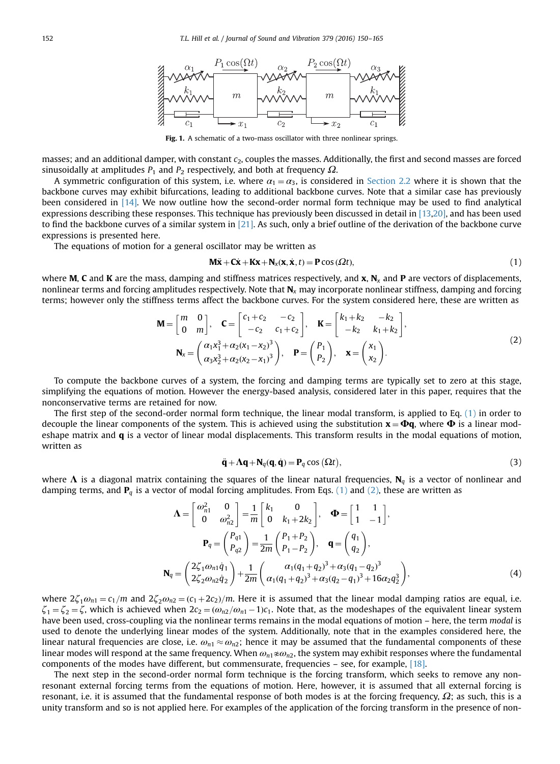<span id="page-2-0"></span>

Fig. 1. A schematic of a two-mass oscillator with three nonlinear springs.

masses; and an additional damper, with constant  $c_2$ , couples the masses. Additionally, the first and second masses are forced sinusoidally at amplitudes  $P_1$  and  $P_2$  respectively, and both at frequency  $\Omega$ .

A symmetric configuration of this system, i.e. where  $\alpha_1 = \alpha_3$ , is considered in [Section 2.2](#page-4-0) where it is shown that the backbone curves may exhibit bifurcations, leading to additional backbone curves. Note that a similar case has previously been considered in [\[14\]](#page-15-0). We now outline how the second-order normal form technique may be used to find analytical expressions describing these responses. This technique has previously been discussed in detail in [\[13,20\],](#page-15-0) and has been used to find the backbone curves of a similar system in  $[21]$ . As such, only a brief outline of the derivation of the backbone curve expressions is presented here.

The equations of motion for a general oscillator may be written as

$$
\mathbf{M}\ddot{\mathbf{x}} + \mathbf{C}\dot{\mathbf{x}} + \mathbf{K}\mathbf{x} + \mathbf{N}_x(\mathbf{x}, \dot{\mathbf{x}}, t) = \mathbf{P}\cos(\Omega t),
$$
\n(1)

where **M, C** and **K** are the mass, damping and stiffness matrices respectively, and **x**,  $N_x$  and **P** are vectors of displacements, nonlinear terms and forcing amplitudes respectively. Note that  $N_x$  may incorporate nonlinear stiffness, damping and forcing terms; however only the stiffness terms affect the backbone curves. For the system considered here, these are written as

$$
\mathbf{M} = \begin{bmatrix} m & 0 \\ 0 & m \end{bmatrix}, \quad \mathbf{C} = \begin{bmatrix} c_1 + c_2 & -c_2 \\ -c_2 & c_1 + c_2 \end{bmatrix}, \quad \mathbf{K} = \begin{bmatrix} k_1 + k_2 & -k_2 \\ -k_2 & k_1 + k_2 \end{bmatrix},
$$

$$
\mathbf{N}_x = \begin{pmatrix} \alpha_1 x_1^3 + \alpha_2 (x_1 - x_2)^3 \\ \alpha_3 x_2^3 + \alpha_2 (x_2 - x_1)^3 \end{pmatrix}, \quad \mathbf{P} = \begin{pmatrix} P_1 \\ P_2 \end{pmatrix}, \quad \mathbf{x} = \begin{pmatrix} x_1 \\ x_2 \end{pmatrix}.
$$
(2)

To compute the backbone curves of a system, the forcing and damping terms are typically set to zero at this stage, simplifying the equations of motion. However the energy-based analysis, considered later in this paper, requires that the nonconservative terms are retained for now.

The first step of the second-order normal form technique, the linear modal transform, is applied to Eq. (1) in order to decouple the linear components of the system. This is achieved using the substitution  $x = \Phi q$ , where  $\Phi$  is a linear modeshape matrix and  $\bf{q}$  is a vector of linear modal displacements. This transform results in the modal equations of motion, written as

$$
\ddot{\mathbf{q}} + \Lambda \mathbf{q} + \mathbf{N}_q(\mathbf{q}, \dot{\mathbf{q}}) = \mathbf{P}_q \cos(\Omega t),
$$
\n(3)

where  $\Lambda$  is a diagonal matrix containing the squares of the linear natural frequencies,  $N_q$  is a vector of nonlinear and damping terms, and  $P_q$  is a vector of modal forcing amplitudes. From Eqs. (1) and (2), these are written as

$$
\mathbf{\Lambda} = \begin{bmatrix} \omega_{n1}^2 & 0 \\ 0 & \omega_{n2}^2 \end{bmatrix} = \frac{1}{m} \begin{bmatrix} k_1 & 0 \\ 0 & k_1 + 2k_2 \end{bmatrix}, \quad \mathbf{\Phi} = \begin{bmatrix} 1 & 1 \\ 1 & -1 \end{bmatrix},
$$

$$
\mathbf{P}_q = \begin{pmatrix} P_{q1} \\ P_{q2} \end{pmatrix} = \frac{1}{2m} \begin{pmatrix} P_1 + P_2 \\ P_1 - P_2 \end{pmatrix}, \quad \mathbf{q} = \begin{pmatrix} q_1 \\ q_2 \end{pmatrix},
$$

$$
\mathbf{N}_q = \begin{pmatrix} 2\zeta_1 \omega_{n1} \dot{q}_1 \\ 2\zeta_2 \omega_{n2} \dot{q}_2 \end{pmatrix} + \frac{1}{2m} \begin{pmatrix} \alpha_1 (q_1 + q_2)^3 + \alpha_3 (q_1 - q_2)^3 \\ \alpha_1 (q_1 + q_2)^3 + \alpha_3 (q_2 - q_1)^3 + 16\alpha_2 q_2^3 \end{pmatrix},
$$
(4)

where  $2\zeta_1\omega_{n1} = c_1/m$  and  $2\zeta_2\omega_{n2} = (c_1 + 2c_2)/m$ . Here it is assumed that the linear modal damping ratios are equal, i.e.  $\zeta_1 = \zeta_2 = \zeta$ , which is achieved when  $2c_2 = (\omega_{n2}/\omega_{n1} - 1)c_1$ . Note that, as the modeshapes of the equivalent linear system have been used, cross-coupling via the nonlinear terms remains in the modal equations of motion – here, the term modal is used to denote the underlying linear modes of the system. Additionally, note that in the examples considered here, the linear natural frequencies are close, i.e.  $\omega_{n1} \approx \omega_{n2}$ ; hence it may be assumed that the fundamental components of these linear modes will respond at the same frequency. When  $\omega_{n1} \nless \omega_{n2}$ , the system may exhibit responses where the fundamental components of the modes have different, but commensurate, frequencies – see, for example, [\[18\]](#page-15-0).

The next step in the second-order normal form technique is the forcing transform, which seeks to remove any nonresonant external forcing terms from the equations of motion. Here, however, it is assumed that all external forcing is resonant, i.e. it is assumed that the fundamental response of both modes is at the forcing frequency,  $Ω$ ; as such, this is a unity transform and so is not applied here. For examples of the application of the forcing transform in the presence of non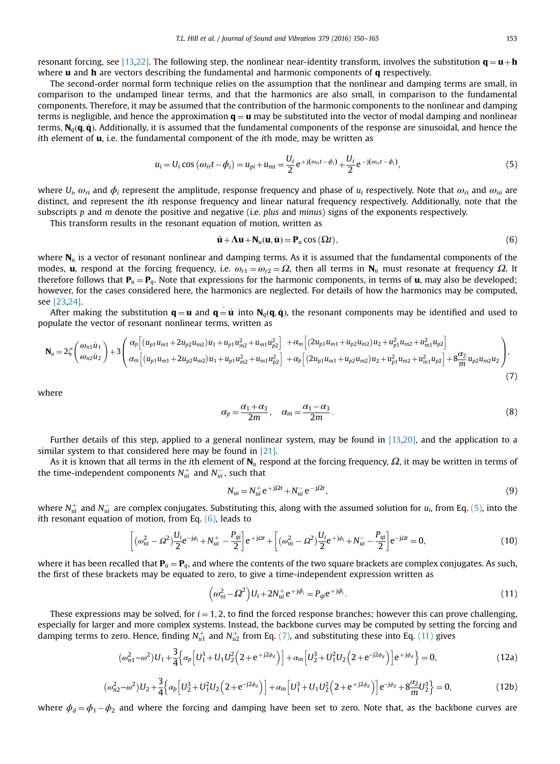<span id="page-3-0"></span>resonant forcing, see [\[13,22\].](#page-15-0) The following step, the nonlinear near-identity transform, involves the substitution  $\mathbf{q} = \mathbf{u} + \mathbf{h}$ where  $\bf{u}$  and  $\bf{h}$  are vectors describing the fundamental and harmonic components of  $\bf{q}$  respectively.

The second-order normal form technique relies on the assumption that the nonlinear and damping terms are small, in comparison to the undamped linear terms, and that the harmonics are also small, in comparison to the fundamental components. Therefore, it may be assumed that the contribution of the harmonic components to the nonlinear and damping terms is negligible, and hence the approximation  $\bf{q} = u$  may be substituted into the vector of modal damping and nonlinear terms,  $N_a(q, \dot{q})$ . Additionally, it is assumed that the fundamental components of the response are sinusoidal, and hence the ith element of  $\mathbf{u}$ , i.e. the fundamental component of the *i*th mode, may be written as

$$
u_i = U_i \cos (\omega_{ri} t - \phi_i) = u_{pi} + u_{mi} = \frac{U_i}{2} e^{+j(\omega_{ri} t - \phi_i)} + \frac{U_i}{2} e^{-j(\omega_{ri} t - \phi_i)},
$$
(5)

where  $U_i$ ,  $\omega_{ri}$  and  $\phi_i$  represent the amplitude, response frequency and phase of  $u_i$  respectively. Note that  $\omega_{ri}$  and  $\omega_{ni}$  are distinct, and represent the ith response frequency and linear natural frequency respectively. Additionally, note that the subscripts  $p$  and  $m$  denote the positive and negative (i.e. plus and  $minus$ ) signs of the exponents respectively.

This transform results in the resonant equation of motion, written as

$$
\ddot{\mathbf{u}} + \mathbf{\Lambda} \mathbf{u} + \mathbf{N}_u(\mathbf{u}, \dot{\mathbf{u}}) = \mathbf{P}_u \cos(\Omega t),
$$
\n(6)

where  $N_u$  is a vector of resonant nonlinear and damping terms. As it is assumed that the fundamental components of the modes, **u**, respond at the forcing frequency, i.e.  $\omega_{r1} = \omega_{r2} = \Omega$ , then all terms in  $N_u$  must resonate at frequency  $\Omega$ . It therefore follows that  $P_u = P_q$ . Note that expressions for the harmonic components, in terms of **u**, may also be developed; however, for the cases considered here, the harmonics are neglected. For details of how the harmonics may be computed, see [\[23,24\].](#page-15-0)

After making the substitution  $\mathbf{q} = \mathbf{u}$  and  $\mathbf{q} = \dot{\mathbf{u}}$  into  $\mathbf{N}_q(\mathbf{q}, \dot{\mathbf{q}})$ , the resonant components may be identified and used to populate the vector of resonant nonlinear terms, written as

$$
\mathbf{N}_{u} = 2\zeta \left(\frac{\omega_{n1} \dot{u}_{1}}{\omega_{n2} \dot{u}_{2}}\right) + 3\left(\frac{\alpha_{p} \left[ (u_{p1} u_{m1} + 2u_{p2} u_{m2}) u_{1} + u_{p1} u_{m2}^{2} + u_{m1} u_{p2}^{2} \right] \right. \\ \left. + \alpha_{m} \left[ (2u_{p1} u_{m1} + u_{p2} u_{m2}) u_{2} + u_{p1}^{2} u_{m2} + u_{m1}^{2} u_{p2} \right] \right. \\ \left. + \alpha_{p} \left[ (2u_{p1} u_{m1} + u_{p2} u_{m2}) u_{2} + u_{p1}^{2} u_{m2} + u_{m1}^{2} u_{p2} \right] \right), \tag{7}
$$

where

$$
\alpha_p = \frac{\alpha_1 + \alpha_3}{2m}, \quad \alpha_m = \frac{\alpha_1 - \alpha_3}{2m}.\tag{8}
$$

Further details of this step, applied to a general nonlinear system, may be found in [\[13,20\]](#page-15-0), and the application to a similar system to that considered here may be found in [\[21\]](#page-15-0).

As it is known that all terms in the ith element of  $N_u$  respond at the forcing frequency,  $\Omega$ , it may be written in terms of the time-independent components  $N^+_{ui}$  and  $N^-_{ui}$ , such that

$$
N_{ui} = N_{ui}^+ e^{+j\Omega t} + N_{ui}^- e^{-j\Omega t},\tag{9}
$$

where  $N^+_{ui}$  and  $N^-_{ui}$  are complex conjugates. Substituting this, along with the assumed solution for  $u_i$ , from Eq. (5), into the ith resonant equation of motion, from Eq.  $(6)$ , leads to

$$
\left[ \left( \omega_{ni}^2 - \Omega^2 \right) \frac{U_i}{2} e^{-j\phi_i} + N_{ui}^+ - \frac{P_{qi}}{2} \right] e^{+j\Omega t} + \left[ \left( \omega_{ni}^2 - \Omega^2 \right) \frac{U_i}{2} e^{+j\phi_i} + N_{ui}^- - \frac{P_{qi}}{2} \right] e^{-j\Omega t} = 0, \tag{10}
$$

where it has been recalled that  $P_u = P_q$ , and where the contents of the two square brackets are complex conjugates. As such, the first of these brackets may be equated to zero, to give a time-independent expression written as

$$
\left(\omega_{ni}^2 - \Omega^2\right)U_i + 2N_{ui}^+e^{+j\phi_i} = P_{qi}e^{+j\phi_i}.\tag{11}
$$

These expressions may be solved, for  $i = 1, 2$ , to find the forced response branches; however this can prove challenging, especially for larger and more complex systems. Instead, the backbone curves may be computed by setting the forcing and damping terms to zero. Hence, finding  $N_{u1}^+$  and  $N_{u2}^+$  from Eq. (7), and substituting these into Eq. (11) gives

$$
(\omega_{n1}^2 - \omega^2)U_1 + \frac{3}{4}\left\{\alpha_p \left[U_1^3 + U_1 U_2^2 \left(2 + e^{+j2\phi_d}\right)\right] + \alpha_m \left[U_2^3 + U_1^2 U_2 \left(2 + e^{-j2\phi_d}\right)\right]e^{+j\phi_d}\right\} = 0,
$$
\n(12a)

$$
(\omega_{n2}^2 - \omega^2)U_2 + \frac{3}{4}\left\{\alpha_p \left[U_2^3 + U_1^2 U_2 \left(2 + e^{-j2\phi_d}\right)\right] + \alpha_m \left[U_1^3 + U_1 U_2^2 \left(2 + e^{+j2\phi_d}\right)\right]e^{-j\phi_d} + 8\frac{\alpha_2}{m}U_2^3\right\} = 0,
$$
\n(12b)

where  $\phi_d = \phi_1 - \phi_2$  and where the forcing and damping have been set to zero. Note that, as the backbone curves are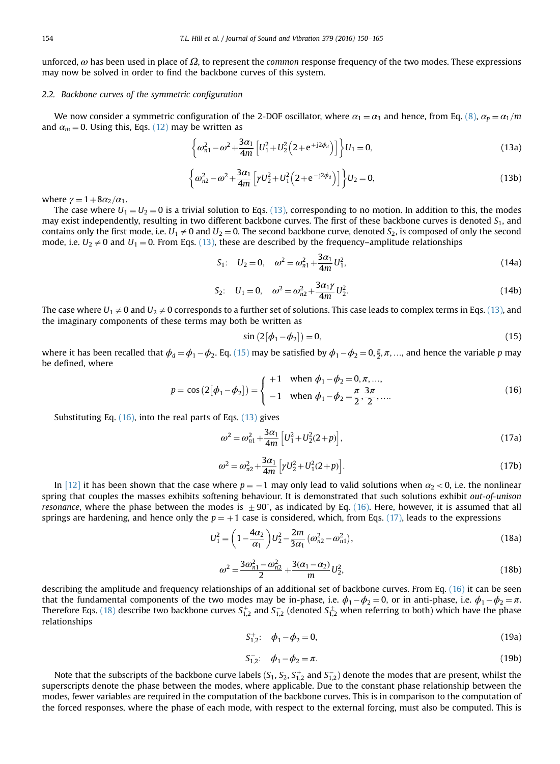<span id="page-4-0"></span>unforced,  $\omega$  has been used in place of  $\Omega$ , to represent the common response frequency of the two modes. These expressions may now be solved in order to find the backbone curves of this system.

#### 2.2. Backbone curves of the symmetric configuration

We now consider a symmetric configuration of the 2-DOF oscillator, where  $\alpha_1 = \alpha_3$  and hence, from Eq. [\(8\)](#page-3-0),  $\alpha_p = \alpha_1/m$ and  $\alpha_m = 0$ . Using this, Eqs. [\(12\)](#page-3-0) may be written as

$$
\left\{\omega_{n1}^2 - \omega^2 + \frac{3\alpha_1}{4m} \left[U_1^2 + U_2^2 \left(2 + e^{+j2\phi_d}\right)\right]\right\} U_1 = 0,
$$
\n(13a)

$$
\left\{\omega_{n2}^2 - \omega^2 + \frac{3\alpha_1}{4m} \left[\gamma U_2^2 + U_1^2 \left(2 + e^{-j2\phi_d}\right)\right]\right\} U_2 = 0,
$$
\n(13b)

where  $\gamma = 1 + 8\alpha_2/\alpha_1$ .

The case where  $U_1 = U_2 = 0$  is a trivial solution to Eqs. (13), corresponding to no motion. In addition to this, the modes may exist independently, resulting in two different backbone curves. The first of these backbone curves is denoted  $S_1$ , and contains only the first mode, i.e.  $U_1 \neq 0$  and  $U_2 = 0$ . The second backbone curve, denoted  $S_2$ , is composed of only the second mode, i.e.  $U_2 \neq 0$  and  $U_1 = 0$ . From Eqs. (13), these are described by the frequency–amplitude relationships

$$
S_1: \quad U_2 = 0, \quad \omega^2 = \omega_{n1}^2 + \frac{3\alpha_1}{4m} U_1^2,
$$
\n(14a)

$$
S_2: \quad U_1 = 0, \quad \omega^2 = \omega_{n2}^2 + \frac{3\alpha_1 \gamma}{4m} U_2^2. \tag{14b}
$$

The case where  $U_1 \neq 0$  and  $U_2 \neq 0$  corresponds to a further set of solutions. This case leads to complex terms in Eqs. (13), and the imaginary components of these terms may both be written as

$$
\sin\left(2\left[\phi_1 - \phi_2\right]\right) = 0,\tag{15}
$$

where it has been recalled that  $\phi_d = \phi_1 - \phi_2$ . Eq. (15) may be satisfied by  $\phi_1 - \phi_2 = 0, \frac{\pi}{2}, \pi, ...$ , and hence the variable p may be defined, where

$$
p = \cos(2[\phi_1 - \phi_2]) = \begin{cases} +1 & \text{when } \phi_1 - \phi_2 = 0, \pi, ..., \\ -1 & \text{when } \phi_1 - \phi_2 = \frac{\pi}{2}, \frac{3\pi}{2}, .... \end{cases}
$$
(16)

Substituting Eq. (16), into the real parts of Eqs. (13) gives

$$
\omega^2 = \omega_{n1}^2 + \frac{3\alpha_1}{4m} \left[ U_1^2 + U_2^2 (2+p) \right],\tag{17a}
$$

$$
\omega^2 = \omega_{n2}^2 + \frac{3\alpha_1}{4m} \left[ \gamma U_2^2 + U_1^2 (2 + p) \right].
$$
 (17b)

In [\[12\]](#page-15-0) it has been shown that the case where  $p = -1$  may only lead to valid solutions when  $\alpha_2 < 0$ , i.e. the nonlinear spring that couples the masses exhibits softening behaviour. It is demonstrated that such solutions exhibit out-of-unison resonance, where the phase between the modes is  $\pm 90^\circ$ , as indicated by Eq. (16). Here, however, it is assumed that all springs are hardening, and hence only the  $p = +1$  case is considered, which, from Eqs. (17), leads to the expressions

$$
U_1^2 = \left(1 - \frac{4\alpha_2}{\alpha_1}\right)U_2^2 - \frac{2m}{3\alpha_1}(\omega_{n2}^2 - \omega_{n1}^2),\tag{18a}
$$

$$
\omega^2 = \frac{3\omega_{n1}^2 - \omega_{n2}^2}{2} + \frac{3(\alpha_1 - \alpha_2)}{m} U_2^2,
$$
\n(18b)

describing the amplitude and frequency relationships of an additional set of backbone curves. From Eq. (16) it can be seen that the fundamental components of the two modes may be in-phase, i.e.  $\phi_1 - \phi_2 = 0$ , or in anti-phase, i.e.  $\phi_1 - \phi_2 = \pi$ . Therefore Eqs. (18) describe two backbone curves  $S^+_{1,2}$  and  $S^-_{1,2}$  (denoted  $S^{\pm}_{1,2}$  when referring to both) which have the phase relationships

$$
S_{1,2}^{+}:\quad \phi_1 - \phi_2 = 0,\tag{19a}
$$

$$
S_{1,2}^{-}: \quad \phi_1 - \phi_2 = \pi. \tag{19b}
$$

Note that the subscripts of the backbone curve labels (S<sub>1</sub>, S<sub>2</sub>, S<sub>1,2</sub> and S<sub>1,2</sub>) denote the modes that are present, whilst the superscripts denote the phase between the modes, where applicable. Due to the constant phase relationship between the modes, fewer variables are required in the computation of the backbone curves. This is in comparison to the computation of the forced responses, where the phase of each mode, with respect to the external forcing, must also be computed. This is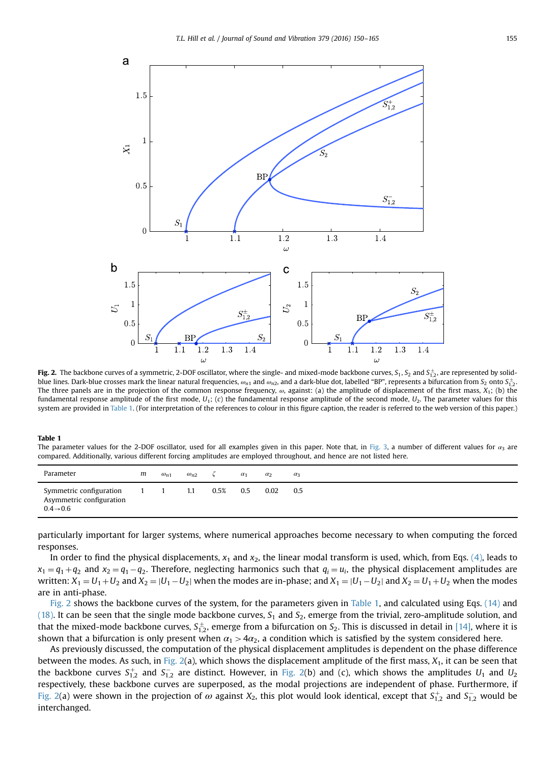<span id="page-5-0"></span>

**Fig. 2.** The backbone curves of a symmetric, 2-DOF oscillator, where the single- and mixed-mode backbone curves,  $S_1$ ,  $S_2$  and  $S_{1,2}^{\pm}$ , are represented by solidblue lines. Dark-blue crosses mark the linear natural frequencies,  $\omega_{n1}$  and  $\omega_{n2}$ , and a dark-blue dot, labelled "BP", represents a bifurcation from S<sub>2</sub> onto S $_{1,2}^+$ . The three panels are in the projection of the common response frequency,  $\omega$ , against: (a) the amplitude of displacement of the first mass,  $X_1$ ; (b) the fundamental response amplitude of the first mode,  $U_1$ ; (c) the fundamental response amplitude of the second mode,  $U_2$ . The parameter values for this system are provided in Table 1. (For interpretation of the references to colour in this figure caption, the reader is referred to the web version of this paper.)

#### Table 1

The parameter values for the 2-DOF oscillator, used for all examples given in this paper. Note that, in [Fig. 3,](#page-7-0) a number of different values for  $\alpha_3$  are compared. Additionally, various different forcing amplitudes are employed throughout, and hence are not listed here.

| Parameter                                                                    | m | $\omega_{n1}$ | $\omega_{n2}$ |      | $\alpha_1$ | $\alpha_2$ | $\alpha_3$ |
|------------------------------------------------------------------------------|---|---------------|---------------|------|------------|------------|------------|
| Symmetric configuration<br>Asymmetric configuration<br>$0.4 \rightarrow 0.6$ |   |               | 1.1           | 0.5% | 0.5        | 0.02       | 0.5        |

particularly important for larger systems, where numerical approaches become necessary to when computing the forced responses.

In order to find the physical displacements,  $x_1$  and  $x_2$ , the linear modal transform is used, which, from Eqs. [\(4\),](#page-2-0) leads to  $x_1 = q_1 + q_2$  and  $x_2 = q_1 - q_2$ . Therefore, neglecting harmonics such that  $q_i = u_i$ , the physical displacement amplitudes are written:  $X_1 = U_1 + U_2$  and  $X_2 = |U_1 - U_2|$  when the modes are in-phase; and  $X_1 = |U_1 - U_2|$  and  $X_2 = U_1 + U_2$  when the modes are in anti-phase.

Fig. 2 shows the backbone curves of the system, for the parameters given in Table 1, and calculated using Eqs. [\(14\)](#page-4-0) and [\(18\).](#page-4-0) It can be seen that the single mode backbone curves,  $S_1$  and  $S_2$ , emerge from the trivial, zero-amplitude solution, and that the mixed-mode backbone curves,  $S^{\pm}_{1,2}$ , emerge from a bifurcation on  $S_2$ . This is discussed in detail in [\[14\],](#page-15-0) where it is shown that a bifurcation is only present when  $\alpha_1 > 4\alpha_2$ , a condition which is satisfied by the system considered here.

As previously discussed, the computation of the physical displacement amplitudes is dependent on the phase difference between the modes. As such, in Fig.  $2(a)$ , which shows the displacement amplitude of the first mass,  $X_1$ , it can be seen that the backbone curves  $S_{1,2}^+$  and  $S_{1,2}^-$  are distinct. However, in Fig. 2(b) and (c), which shows the amplitudes  $U_1$  and  $U_2$ respectively, these backbone curves are superposed, as the modal projections are independent of phase. Furthermore, if Fig. 2(a) were shown in the projection of  $\omega$  against  $X_2$ , this plot would look identical, except that  $S^+_{1,2}$  and  $S^-_{1,2}$  would be interchanged.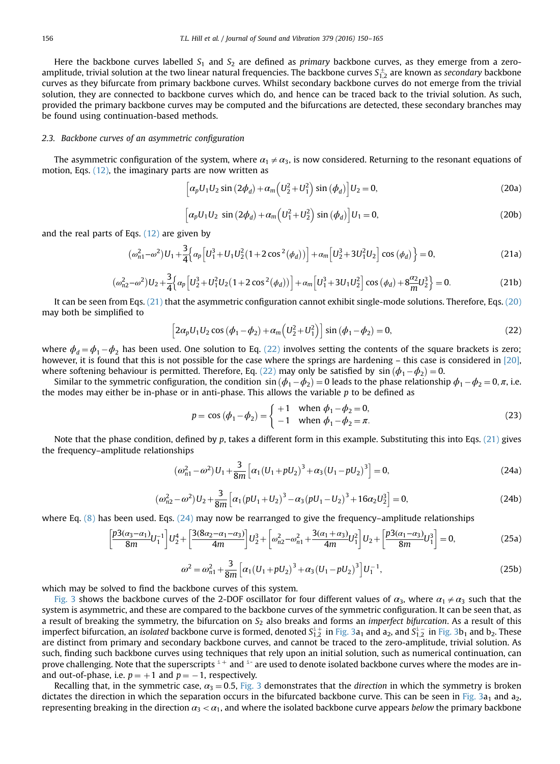<span id="page-6-0"></span>Here the backbone curves labelled  $S_1$  and  $S_2$  are defined as primary backbone curves, as they emerge from a zeroamplitude, trivial solution at the two linear natural frequencies. The backbone curves  $S^\pm_{1,2}$  are known as secondary backbone curves as they bifurcate from primary backbone curves. Whilst secondary backbone curves do not emerge from the trivial solution, they are connected to backbone curves which do, and hence can be traced back to the trivial solution. As such, provided the primary backbone curves may be computed and the bifurcations are detected, these secondary branches may be found using continuation-based methods.

#### 2.3. Backbone curves of an asymmetric configuration

The asymmetric configuration of the system, where  $\alpha_1 \neq \alpha_3$ , is now considered. Returning to the resonant equations of motion, Eqs. [\(12\),](#page-3-0) the imaginary parts are now written as

$$
\left[\alpha_p U_1 U_2 \sin \left(2\phi_d\right) + \alpha_m \left(U_2^2 + U_1^2\right) \sin \left(\phi_d\right)\right] U_2 = 0, \tag{20a}
$$

$$
\left[\alpha_p U_1 U_2 \sin \left(2\phi_d\right) + \alpha_m \left(U_1^2 + U_2^2\right) \sin \left(\phi_d\right)\right] U_1 = 0, \tag{20b}
$$

and the real parts of Eqs. [\(12\)](#page-3-0) are given by

$$
(\omega_{n1}^2 - \omega^2)U_1 + \frac{3}{4}\Big\{\alpha_p \Big[U_1^3 + U_1 U_2^2 (1 + 2 \cos^2(\phi_d))\Big] + \alpha_m \Big[U_2^3 + 3U_1^2 U_2\Big] \cos(\phi_d)\Big\} = 0,
$$
\n(21a)

$$
(\omega_{n2}^2 - \omega^2)U_2 + \frac{3}{4} \Big\{ \alpha_p \Big[ U_2^3 + U_1^2 U_2 \big( 1 + 2 \cos^2(\phi_d) \big) \Big] + \alpha_m \Big[ U_1^3 + 3 U_1 U_2^2 \Big] \cos(\phi_d) + 8 \frac{\alpha_2}{m} U_2^3 \Big\} = 0. \tag{21b}
$$

It can be seen from Eqs. (21) that the asymmetric configuration cannot exhibit single-mode solutions. Therefore, Eqs. (20) may both be simplified to

$$
\[2\alpha_p U_1 U_2 \cos (\phi_1 - \phi_2) + \alpha_m \left( U_2^2 + U_1^2 \right) \] \sin (\phi_1 - \phi_2) = 0,\tag{22}
$$

where  $\phi_d = \phi_1 - \phi_2$  has been used. One solution to Eq. (22) involves setting the contents of the square brackets is zero; however, it is found that this is not possible for the case where the springs are hardening – this case is considered in [\[20\]](#page-15-0), where softening behaviour is permitted. Therefore, Eq. (22) may only be satisfied by  $sin (\phi_1 - \phi_2) = 0$ .

Similar to the symmetric configuration, the condition  $\sin (\phi_1 - \phi_2) = 0$  leads to the phase relationship  $\phi_1 - \phi_2 = 0$ ,  $\pi$ , i.e. the modes may either be in-phase or in anti-phase. This allows the variable  $p$  to be defined as

$$
p = \cos (\phi_1 - \phi_2) = \begin{cases} +1 & \text{when } \phi_1 - \phi_2 = 0, \\ -1 & \text{when } \phi_1 - \phi_2 = \pi. \end{cases}
$$
 (23)

Note that the phase condition, defined by p, takes a different form in this example. Substituting this into Eqs.  $(21)$  gives the frequency–amplitude relationships

$$
(\omega_{n1}^2 - \omega^2)U_1 + \frac{3}{8m} \left[ \alpha_1 (U_1 + pU_2)^3 + \alpha_3 (U_1 - pU_2)^3 \right] = 0,
$$
\n(24a)

$$
(\omega_{n2}^2 - \omega^2)U_2 + \frac{3}{8m} \left[ \alpha_1 (pU_1 + U_2)^3 - \alpha_3 (pU_1 - U_2)^3 + 16\alpha_2 U_2^3 \right] = 0,
$$
\n(24b)

where Eq.  $(8)$  has been used. Eqs.  $(24)$  may now be rearranged to give the frequency–amplitude relationships

$$
\left[\frac{p3(\alpha_3-\alpha_1)}{8m}U_1^{-1}\right]U_2^4 + \left[\frac{3(8\alpha_2-\alpha_1-\alpha_3)}{4m}\right]U_2^3 + \left[\omega_{n2}^2-\omega_{n1}^2 + \frac{3(\alpha_1+\alpha_3)}{4m}U_1^2\right]U_2 + \left[\frac{p3(\alpha_1-\alpha_3)}{8m}U_1^3\right] = 0,\tag{25a}
$$

$$
\omega^2 = \omega_{n1}^2 + \frac{3}{8m} \left[ \alpha_1 (U_1 + pU_2)^3 + \alpha_3 (U_1 - pU_2)^3 \right] U_1^{-1},\tag{25b}
$$

which may be solved to find the backbone curves of this system.

[Fig. 3](#page-7-0) shows the backbone curves of the 2-DOF oscillator for four different values of  $\alpha_3$ , where  $\alpha_1 \neq \alpha_3$  such that the system is asymmetric, and these are compared to the backbone curves of the symmetric configuration. It can be seen that, as a result of breaking the symmetry, the bifurcation on  $S_2$  also breaks and forms an *imperfect bifurcation*. As a result of this imperfect bifurcation, an isolated backbone curve is formed, denoted  $S_{1,2}^{i+}$  in [Fig. 3](#page-7-0)a<sub>1</sub> and a<sub>2</sub>, and  $S_{1,2}^{i-}$  in Fig. 3b<sub>1</sub> and b<sub>2</sub>. These are distinct from primary and secondary backbone curves, and cannot be traced to the zero-amplitude, trivial solution. As such, finding such backbone curves using techniques that rely upon an initial solution, such as numerical continuation, can prove challenging. Note that the superscripts  $i^+$  and  $i^-$  are used to denote isolated backbone curves where the modes are inand out-of-phase, i.e.  $p = +1$  and  $p = -1$ , respectively.

Recalling that, in the symmetric case,  $\alpha_3 = 0.5$ , [Fig. 3](#page-7-0) demonstrates that the direction in which the symmetry is broken dictates the direction in which the separation occurs in the bifurcated backbone curve. This can be seen in [Fig. 3](#page-7-0)a<sub>1</sub> and a<sub>2</sub>, representing breaking in the direction  $\alpha_3 < \alpha_1$ , and where the isolated backbone curve appears below the primary backbone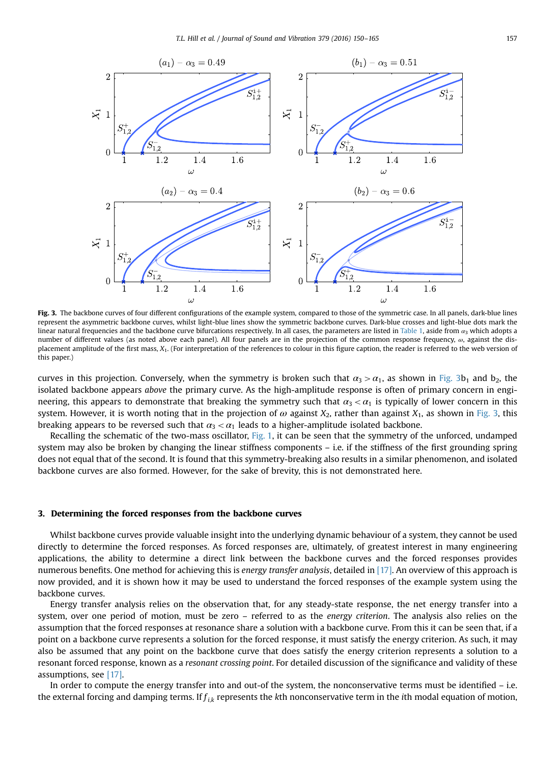<span id="page-7-0"></span>

Fig. 3. The backbone curves of four different configurations of the example system, compared to those of the symmetric case. In all panels, dark-blue lines represent the asymmetric backbone curves, whilst light-blue lines show the symmetric backbone curves. Dark-blue crosses and light-blue dots mark the linear natural frequencies and the backbone curve bifurcations respectively. In all cases, the parameters are listed in [Table 1](#page-5-0), aside from  $a_3$  which adopts a number of different values (as noted above each panel). All four panels are in the projection of the common response frequency, ω, against the displacement amplitude of the first mass,  $X_1$ . (For interpretation of the references to colour in this figure caption, the reader is referred to the web version of this paper.)

curves in this projection. Conversely, when the symmetry is broken such that  $\alpha_3 > \alpha_1$ , as shown in Fig. 3b<sub>1</sub> and b<sub>2</sub>, the isolated backbone appears above the primary curve. As the high-amplitude response is often of primary concern in engineering, this appears to demonstrate that breaking the symmetry such that  $\alpha_3 < \alpha_1$  is typically of lower concern in this system. However, it is worth noting that in the projection of  $\omega$  against  $X_2$ , rather than against  $X_1$ , as shown in Fig. 3, this breaking appears to be reversed such that  $\alpha_3 < \alpha_1$  leads to a higher-amplitude isolated backbone.

Recalling the schematic of the two-mass oscillator, [Fig. 1,](#page-2-0) it can be seen that the symmetry of the unforced, undamped system may also be broken by changing the linear stiffness components – i.e. if the stiffness of the first grounding spring does not equal that of the second. It is found that this symmetry-breaking also results in a similar phenomenon, and isolated backbone curves are also formed. However, for the sake of brevity, this is not demonstrated here.

#### 3. Determining the forced responses from the backbone curves

Whilst backbone curves provide valuable insight into the underlying dynamic behaviour of a system, they cannot be used directly to determine the forced responses. As forced responses are, ultimately, of greatest interest in many engineering applications, the ability to determine a direct link between the backbone curves and the forced responses provides numerous benefits. One method for achieving this is energy transfer analysis, detailed in [\[17\]](#page-15-0). An overview of this approach is now provided, and it is shown how it may be used to understand the forced responses of the example system using the backbone curves.

Energy transfer analysis relies on the observation that, for any steady-state response, the net energy transfer into a system, over one period of motion, must be zero – referred to as the energy criterion. The analysis also relies on the assumption that the forced responses at resonance share a solution with a backbone curve. From this it can be seen that, if a point on a backbone curve represents a solution for the forced response, it must satisfy the energy criterion. As such, it may also be assumed that any point on the backbone curve that does satisfy the energy criterion represents a solution to a resonant forced response, known as a resonant crossing point. For detailed discussion of the significance and validity of these assumptions, see [\[17\].](#page-15-0)

In order to compute the energy transfer into and out-of the system, the nonconservative terms must be identified – i.e. the external forcing and damping terms. If  $f_{ik}$  represents the kth nonconservative term in the ith modal equation of motion,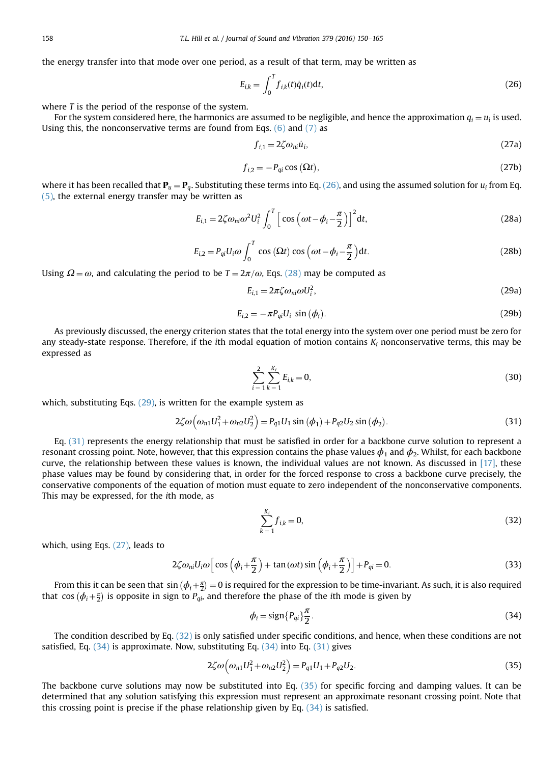<span id="page-8-0"></span>the energy transfer into that mode over one period, as a result of that term, may be written as

$$
E_{i,k} = \int_0^T f_{i,k}(t)\dot{q}_i(t)dt,
$$
\n(26)

where T is the period of the response of the system.

For the system considered here, the harmonics are assumed to be negligible, and hence the approximation  $q_i = u_i$  is used. Using this, the nonconservative terms are found from Eqs.  $(6)$  and  $(7)$  as

$$
f_{i,1} = 2\zeta \omega_{ni} \dot{u}_i,\tag{27a}
$$

$$
f_{i,2} = -P_{qi} \cos(\Omega t),\tag{27b}
$$

where it has been recalled that  $P_u = P_q$ . Substituting these terms into Eq. (26), and using the assumed solution for  $u_i$  from Eq. [\(5\),](#page-3-0) the external energy transfer may be written as

$$
E_{i,1} = 2\zeta\omega_{ni}\omega^2 U_i^2 \int_0^T \left[ \cos\left(\omega t - \phi_i - \frac{\pi}{2}\right) \right]^2 dt, \tag{28a}
$$

$$
E_{i,2} = P_{qi} U_i \omega \int_0^T \cos(\Omega t) \cos(\omega t - \phi_i - \frac{\pi}{2}) dt.
$$
 (28b)

Using  $\Omega = \omega$ , and calculating the period to be  $T = 2\pi/\omega$ , Eqs. (28) may be computed as

$$
E_{i,1} = 2\pi \zeta \omega_{ni} \omega U_i^2, \qquad (29a)
$$

$$
E_{i,2} = -\pi P_{qi} U_i \sin(\phi_i). \tag{29b}
$$

As previously discussed, the energy criterion states that the total energy into the system over one period must be zero for any steady-state response. Therefore, if the ith modal equation of motion contains  $K_i$  nonconservative terms, this may be expressed as

$$
\sum_{i=1}^{2} \sum_{k=1}^{K_i} E_{i,k} = 0,
$$
\n(30)

which, substituting Eqs.  $(29)$ , is written for the example system as

$$
2\zeta\omega\Big(\omega_{n1}U_1^2 + \omega_{n2}U_2^2\Big) = P_{q1}U_1\sin\left(\phi_1\right) + P_{q2}U_2\sin\left(\phi_2\right). \tag{31}
$$

Eq. (31) represents the energy relationship that must be satisfied in order for a backbone curve solution to represent a resonant crossing point. Note, however, that this expression contains the phase values  $\phi_1$  and  $\phi_2$ . Whilst, for each backbone curve, the relationship between these values is known, the individual values are not known. As discussed in [\[17\],](#page-15-0) these phase values may be found by considering that, in order for the forced response to cross a backbone curve precisely, the conservative components of the equation of motion must equate to zero independent of the nonconservative components. This may be expressed, for the ith mode, as

$$
\sum_{k=1}^{K_i} f_{i,k} = 0,\tag{32}
$$

which, using Eqs. (27), leads to

$$
2\zeta\omega_{ni}U_i\omega\left[\cos\left(\phi_i+\frac{\pi}{2}\right)+\tan\left(\omega t\right)\sin\left(\phi_i+\frac{\pi}{2}\right)\right]+P_{qi}=0.
$$
\n(33)

From this it can be seen that  $sin(\phi_i + \frac{\pi}{2}) = 0$  is required for the expression to be time-invariant. As such, it is also required that cos  $(\phi_i + \frac{\pi}{2})$  is opposite in sign to  $P_{qi}$ , and therefore the phase of the *i*th mode is given by

$$
\phi_i = \text{sign}\{P_{qi}\}\frac{\pi}{2}.\tag{34}
$$

The condition described by Eq. (32) is only satisfied under specific conditions, and hence, when these conditions are not satisfied, Eq.  $(34)$  is approximate. Now, substituting Eq.  $(34)$  into Eq.  $(31)$  gives

$$
2\zeta\omega\Big(\omega_{n1}U_1^2 + \omega_{n2}U_2^2\Big) = P_{q1}U_1 + P_{q2}U_2. \tag{35}
$$

The backbone curve solutions may now be substituted into Eq. (35) for specific forcing and damping values. It can be determined that any solution satisfying this expression must represent an approximate resonant crossing point. Note that this crossing point is precise if the phase relationship given by Eq. (34) is satisfied.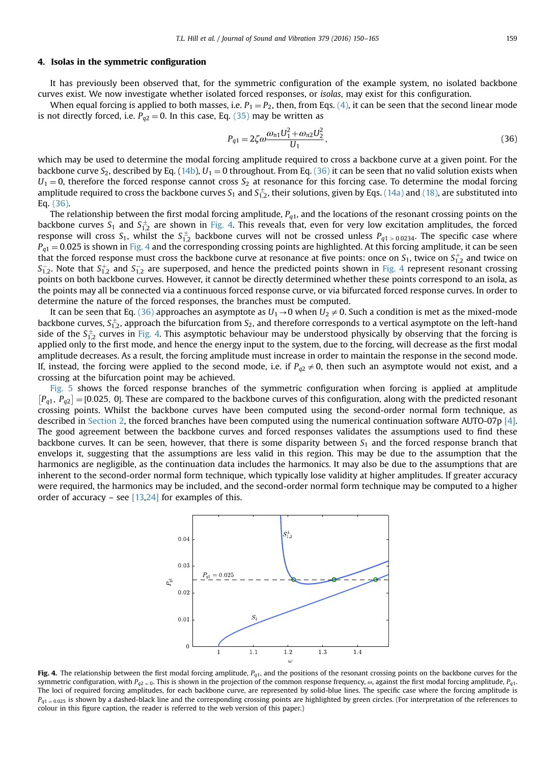#### <span id="page-9-0"></span>4. Isolas in the symmetric configuration

It has previously been observed that, for the symmetric configuration of the example system, no isolated backbone curves exist. We now investigate whether isolated forced responses, or isolas, may exist for this configuration.

When equal forcing is applied to both masses, i.e.  $P_1 = P_2$ , then, from Eqs. [\(4\),](#page-2-0) it can be seen that the second linear mode is not directly forced, i.e.  $P_{q2} = 0$ . In this case, Eq. [\(35\)](#page-8-0) may be written as

$$
P_{q1} = 2\zeta \omega \frac{\omega_{n1} U_1^2 + \omega_{n2} U_2^2}{U_1},
$$
\n(36)

which may be used to determine the modal forcing amplitude required to cross a backbone curve at a given point. For the backbone curve  $S_2$ , described by Eq. [\(14b\)](#page-4-0),  $U_1 = 0$  throughout. From Eq. (36) it can be seen that no valid solution exists when  $U_1 = 0$ , therefore the forced response cannot cross  $S_2$  at resonance for this forcing case. To determine the modal forcing amplitude required to cross the backbone curves  $S_1$  and  $S_{1,2}^\pm$ , their solutions, given by Eqs. [\(14a\)](#page-4-0) and [\(18\),](#page-4-0) are substituted into Eq. (36).

The relationship between the first modal forcing amplitude,  $P_{q1}$ , and the locations of the resonant crossing points on the backbone curves  $S_1$  and  $S_{1,2}^\pm$  are shown in Fig. 4. This reveals that, even for very low excitation amplitudes, the forced response will cross  $S_1$ , whilst the  $S_{1,2}^\pm$  backbone curves will not be crossed unless  $P_{q1>0.0234}$ . The specific case where  $P_{q1}$  = 0.025 is shown in Fig. 4 and the corresponding crossing points are highlighted. At this forcing amplitude, it can be seen that the forced response must cross the backbone curve at resonance at five points: once on  $S_1$ , twice on  $S_{1,2}^+$  and twice on  $S_{1,2}^-$ . Note that  $S_{1,2}^+$  and  $S_{1,2}^-$  are superposed, and hence the predicted points shown in Fig. 4 represent resonant crossing points on both backbone curves. However, it cannot be directly determined whether these points correspond to an isola, as the points may all be connected via a continuous forced response curve, or via bifurcated forced response curves. In order to determine the nature of the forced responses, the branches must be computed.

It can be seen that Eq. (36) approaches an asymptote as  $U_1\rightarrow 0$  when  $U_2\neq 0$ . Such a condition is met as the mixed-mode backbone curves,  $S^{\pm}_{1,2}$ , approach the bifurcation from  $S_2$ , and therefore corresponds to a vertical asymptote on the left-hand side of the  $S_{1,2}^\pm$  curves in Fig. 4. This asymptotic behaviour may be understood physically by observing that the forcing is applied only to the first mode, and hence the energy input to the system, due to the forcing, will decrease as the first modal amplitude decreases. As a result, the forcing amplitude must increase in order to maintain the response in the second mode. If, instead, the forcing were applied to the second mode, i.e. if  $P_{q2} \neq 0$ , then such an asymptote would not exist, and a crossing at the bifurcation point may be achieved.

[Fig. 5](#page-10-0) shows the forced response branches of the symmetric configuration when forcing is applied at amplitude  $[P_{q1}, P_{q2}] = [0.025, 0]$ . These are compared to the backbone curves of this configuration, along with the predicted resonant crossing points. Whilst the backbone curves have been computed using the second-order normal form technique, as described in [Section 2,](#page-1-0) the forced branches have been computed using the numerical continuation software AUTO-07p [\[4\]](#page-14-0). The good agreement between the backbone curves and forced responses validates the assumptions used to find these backbone curves. It can be seen, however, that there is some disparity between  $S_1$  and the forced response branch that envelops it, suggesting that the assumptions are less valid in this region. This may be due to the assumption that the harmonics are negligible, as the continuation data includes the harmonics. It may also be due to the assumptions that are inherent to the second-order normal form technique, which typically lose validity at higher amplitudes. If greater accuracy were required, the harmonics may be included, and the second-order normal form technique may be computed to a higher order of accuracy – see  $[13,24]$  for examples of this.



Fig. 4. The relationship between the first modal forcing amplitude,  $P_{q1}$ , and the positions of the resonant crossing points on the backbone curves for the symmetric configuration, with  $P_{q2} = 0$ . This is shown in the projection of the common response frequency,  $\omega$ , against the first modal forcing amplitude,  $P_{q1}$ . The loci of required forcing amplitudes, for each backbone curve, are represented by solid-blue lines. The specific case where the forcing amplitude is  $P_{q1 = 0.025}$  is shown by a dashed-black line and the corresponding crossing points are highlighted by green circles. (For interpretation of the references to colour in this figure caption, the reader is referred to the web version of this paper.)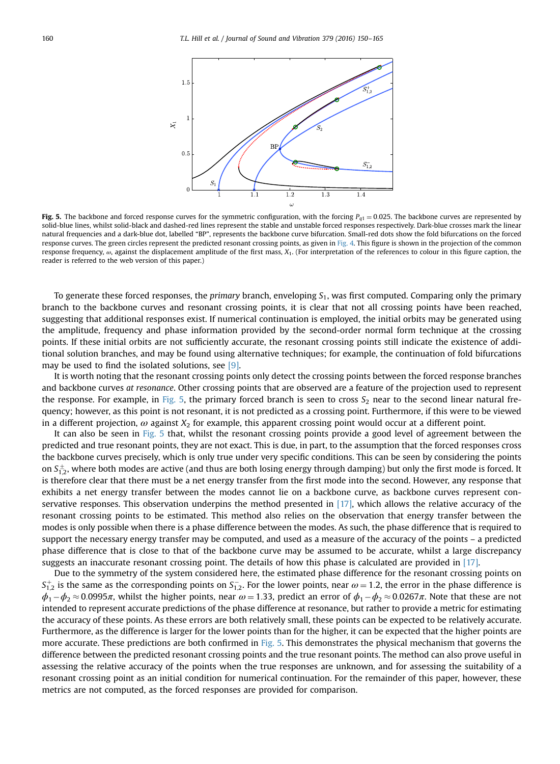<span id="page-10-0"></span>

Fig. 5. The backbone and forced response curves for the symmetric configuration, with the forcing  $P_{q1} = 0.025$ . The backbone curves are represented by solid-blue lines, whilst solid-black and dashed-red lines represent the stable and unstable forced responses respectively. Dark-blue crosses mark the linear natural frequencies and a dark-blue dot, labelled "BP", represents the backbone curve bifurcation. Small-red dots show the fold bifurcations on the forced response curves. The green circles represent the predicted resonant crossing points, as given in [Fig. 4.](#page-9-0) This figure is shown in the projection of the common response frequency,  $\omega$ , against the displacement amplitude of the first mass,  $X_1$ . (For interpretation of the references to colour in this figure caption, the reader is referred to the web version of this paper.)

To generate these forced responses, the *primary* branch, enveloping  $S_1$ , was first computed. Comparing only the primary branch to the backbone curves and resonant crossing points, it is clear that not all crossing points have been reached, suggesting that additional responses exist. If numerical continuation is employed, the initial orbits may be generated using the amplitude, frequency and phase information provided by the second-order normal form technique at the crossing points. If these initial orbits are not sufficiently accurate, the resonant crossing points still indicate the existence of additional solution branches, and may be found using alternative techniques; for example, the continuation of fold bifurcations may be used to find the isolated solutions, see [\[9\]](#page-15-0).

It is worth noting that the resonant crossing points only detect the crossing points between the forced response branches and backbone curves at resonance. Other crossing points that are observed are a feature of the projection used to represent the response. For example, in Fig. 5, the primary forced branch is seen to cross  $S_2$  near to the second linear natural frequency; however, as this point is not resonant, it is not predicted as a crossing point. Furthermore, if this were to be viewed in a different projection,  $\omega$  against  $X_2$  for example, this apparent crossing point would occur at a different point.

It can also be seen in Fig. 5 that, whilst the resonant crossing points provide a good level of agreement between the predicted and true resonant points, they are not exact. This is due, in part, to the assumption that the forced responses cross the backbone curves precisely, which is only true under very specific conditions. This can be seen by considering the points on  $S_{1,2}^\pm$ , where both modes are active (and thus are both losing energy through damping) but only the first mode is forced. It is therefore clear that there must be a net energy transfer from the first mode into the second. However, any response that exhibits a net energy transfer between the modes cannot lie on a backbone curve, as backbone curves represent conservative responses. This observation underpins the method presented in  $[17]$ , which allows the relative accuracy of the resonant crossing points to be estimated. This method also relies on the observation that energy transfer between the modes is only possible when there is a phase difference between the modes. As such, the phase difference that is required to support the necessary energy transfer may be computed, and used as a measure of the accuracy of the points – a predicted phase difference that is close to that of the backbone curve may be assumed to be accurate, whilst a large discrepancy suggests an inaccurate resonant crossing point. The details of how this phase is calculated are provided in [\[17\]](#page-15-0).

Due to the symmetry of the system considered here, the estimated phase difference for the resonant crossing points on  $S_{1,2}^+$  is the same as the corresponding points on  $S_{1,2}^-$ . For the lower points, near  $\omega = 1.2$ , the error in the phase difference is  $\phi_1-\phi_2\approx$  0.0995π, whilst the higher points, near  $\omega$  = 1.33, predict an error of  $\phi_1-\phi_2\approx$  0.0267π. Note that these are not intended to represent accurate predictions of the phase difference at resonance, but rather to provide a metric for estimating the accuracy of these points. As these errors are both relatively small, these points can be expected to be relatively accurate. Furthermore, as the difference is larger for the lower points than for the higher, it can be expected that the higher points are more accurate. These predictions are both confirmed in Fig. 5. This demonstrates the physical mechanism that governs the difference between the predicted resonant crossing points and the true resonant points. The method can also prove useful in assessing the relative accuracy of the points when the true responses are unknown, and for assessing the suitability of a resonant crossing point as an initial condition for numerical continuation. For the remainder of this paper, however, these metrics are not computed, as the forced responses are provided for comparison.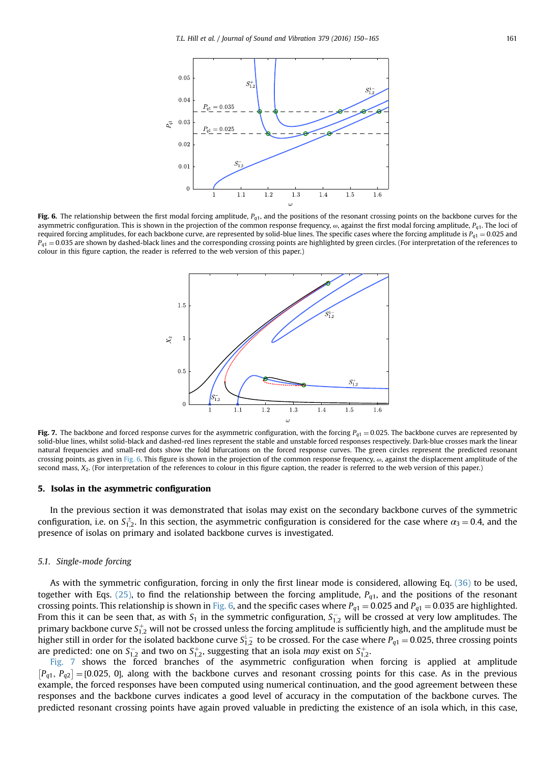<span id="page-11-0"></span>

Fig. 6. The relationship between the first modal forcing amplitude,  $P_{q1}$ , and the positions of the resonant crossing points on the backbone curves for the asymmetric configuration. This is shown in the projection of the common response frequency,  $\omega$ , against the first modal forcing amplitude,  $P_{q1}$ . The loci of required forcing amplitudes, for each backbone curve, are represented by solid-blue lines. The specific cases where the forcing amplitude is  $P_{q1} = 0.025$  and  $P_{q1} = 0.035$  are shown by dashed-black lines and the corresponding crossing points are highlighted by green circles. (For interpretation of the references to colour in this figure caption, the reader is referred to the web version of this paper.)



Fig. 7. The backbone and forced response curves for the asymmetric configuration, with the forcing  $P_{q1} = 0.025$ . The backbone curves are represented by solid-blue lines, whilst solid-black and dashed-red lines represent the stable and unstable forced responses respectively. Dark-blue crosses mark the linear natural frequencies and small-red dots show the fold bifurcations on the forced response curves. The green circles represent the predicted resonant crossing points, as given in Fig. 6. This figure is shown in the projection of the common response frequency,  $\omega$ , against the displacement amplitude of the second mass, X2. (For interpretation of the references to colour in this figure caption, the reader is referred to the web version of this paper.)

#### 5. Isolas in the asymmetric configuration

In the previous section it was demonstrated that isolas may exist on the secondary backbone curves of the symmetric configuration, i.e. on  $S_{1,2}^{\pm}$ . In this section, the asymmetric configuration is considered for the case where  $\alpha_3=0.4$ , and the presence of isolas on primary and isolated backbone curves is investigated.

#### 5.1. Single-mode forcing

As with the symmetric configuration, forcing in only the first linear mode is considered, allowing Eq. [\(36\)](#page-9-0) to be used, together with Eqs. [\(25\),](#page-6-0) to find the relationship between the forcing amplitude,  $P_{q1}$ , and the positions of the resonant crossing points. This relationship is shown in Fig. 6, and the specific cases where  $P_{q1} = 0.025$  and  $P_{q1} = 0.035$  are highlighted. From this it can be seen that, as with  $S_1$  in the symmetric configuration,  $S_{1,2}^-$  will be crossed at very low amplitudes. The primary backbone curve  $S^+_{1,2}$  will not be crossed unless the forcing amplitude is sufficiently high, and the amplitude must be higher still in order for the isolated backbone curve  $S_{1,2}^i$  to be crossed. For the case where  $P_{q1}=0.025$ , three crossing points are predicted: one on  $S^-_{1,2}$  and two on  $S^+_{1,2}$ , suggesting that an isola *may* exist on  $S^+_{1,2}$ .

Fig. 7 shows the forced branches of the asymmetric configuration when forcing is applied at amplitude  $[P_{q1}, P_{q2}] = [0.025, 0]$ , along with the backbone curves and resonant crossing points for this case. As in the previous example, the forced responses have been computed using numerical continuation, and the good agreement between these responses and the backbone curves indicates a good level of accuracy in the computation of the backbone curves. The predicted resonant crossing points have again proved valuable in predicting the existence of an isola which, in this case,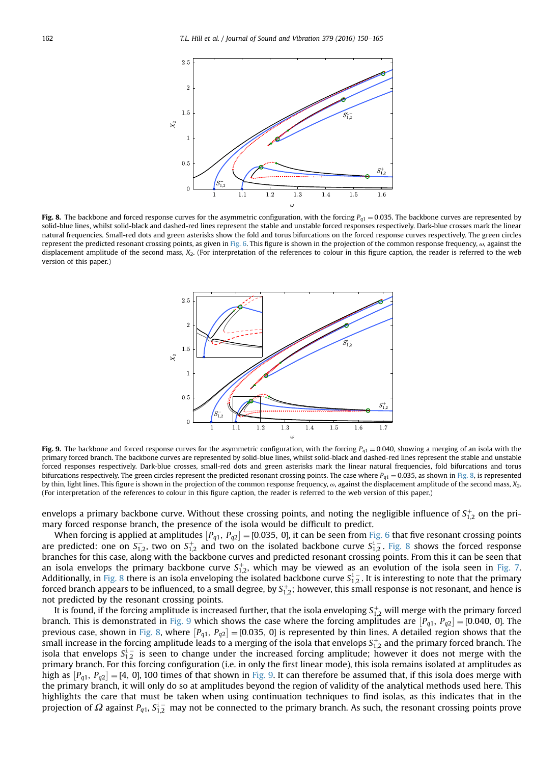<span id="page-12-0"></span>

Fig. 8. The backbone and forced response curves for the asymmetric configuration, with the forcing  $P_{q1} = 0.035$ . The backbone curves are represented by solid-blue lines, whilst solid-black and dashed-red lines represent the stable and unstable forced responses respectively. Dark-blue crosses mark the linear natural frequencies. Small-red dots and green asterisks show the fold and torus bifurcations on the forced response curves respectively. The green circles represent the predicted resonant crossing points, as given in [Fig. 6.](#page-11-0) This figure is shown in the projection of the common response frequency, ω, against the displacement amplitude of the second mass,  $X_2$ . (For interpretation of the references to colour in this figure caption, the reader is referred to the web version of this paper.)



Fig. 9. The backbone and forced response curves for the asymmetric configuration, with the forcing  $P_{q1} = 0.040$ , showing a merging of an isola with the primary forced branch. The backbone curves are represented by solid-blue lines, whilst solid-black and dashed-red lines represent the stable and unstable forced responses respectively. Dark-blue crosses, small-red dots and green asterisks mark the linear natural frequencies, fold bifurcations and torus bifurcations respectively. The green circles represent the predicted resonant crossing points. The case where  $P_{q1} = 0.035$ , as shown in Fig. 8, is represented by thin, light lines. This figure is shown in the projection of the common response frequency,  $\omega$ , against the displacement amplitude of the second mass,  $X_2$ . (For interpretation of the references to colour in this figure caption, the reader is referred to the web version of this paper.)

envelops a primary backbone curve. Without these crossing points, and noting the negligible influence of  $S^+_{1,2}$  on the primary forced response branch, the presence of the isola would be difficult to predict.

When forcing is applied at amplitudes  $[P_{q1}, P_{q2}] = [0.035, 0]$ , it can be seen from [Fig. 6](#page-11-0) that five resonant crossing points are predicted: one on  $S_{1,2}^-$ , two on  $S_{1,2}^+$  and two on the isolated backbone curve  $S_{1,2}^+$ . Fig. 8 shows the forced response branches for this case, along with the backbone curves and predicted resonant crossing points. From this it can be seen that an isola envelops the primary backbone curve  $S_{1,2}^+$ , which may be viewed as an evolution of the isola seen in [Fig. 7](#page-11-0). Additionally, in Fig. 8 there is an isola enveloping the isolated backbone curve  $S^1_{1,2}$  . It is interesting to note that the primary forced branch appears to be influenced, to a small degree, by  $S^+_{1,2}$ ; however, this small response is not resonant, and hence is not predicted by the resonant crossing points.

It is found, if the forcing amplitude is increased further, that the isola enveloping  $S^+_{1,2}$  will merge with the primary forced branch. This is demonstrated in Fig. 9 which shows the case where the forcing amplitudes are  $[P_{q1}, P_{q2}] = [0.040, 0]$ . The previous case, shown in Fig. 8, where  $[P_{q1}, P_{q2}] = [0.035, 0]$  is represented by thin lines. A detailed region shows that the small increase in the forcing amplitude leads to a merging of the isola that envelops  $\bm{\mathsf{S}}^+_{1,2}$  and the primary forced branch. The isola that envelops  $S_{1,2}^i$  is seen to change under the increased forcing amplitude; however it does not merge with the primary branch. For this forcing configuration (i.e. in only the first linear mode), this isola remains isolated at amplitudes as high as  $[P_{q1}, P_{q2}] = [4, 0]$ , 100 times of that shown in Fig. 9. It can therefore be assumed that, if this isola does merge with the primary branch, it will only do so at amplitudes beyond the region of validity of the analytical methods used here. This highlights the care that must be taken when using continuation techniques to find isolas, as this indicates that in the projection of  $\Omega$  against  $P_{q1}$ ,  $S^1_{1,2}$  may not be connected to the primary branch. As such, the resonant crossing points prove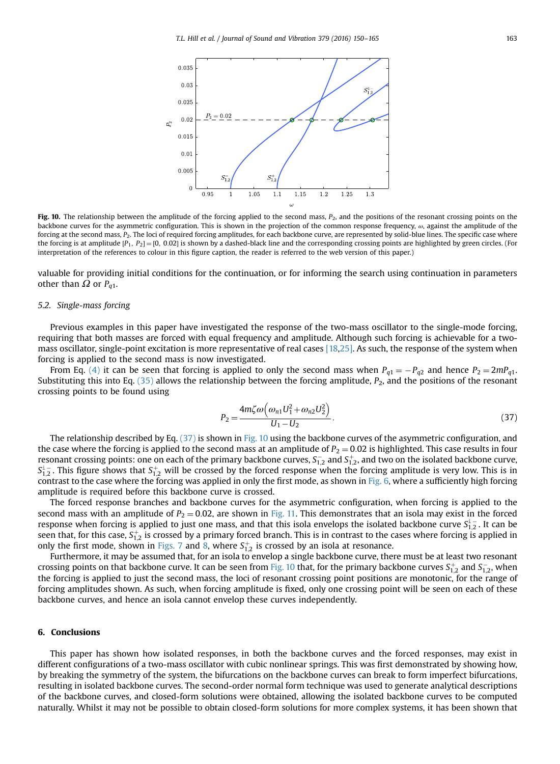<span id="page-13-0"></span>

Fig. 10. The relationship between the amplitude of the forcing applied to the second mass,  $P_2$ , and the positions of the resonant crossing points on the backbone curves for the asymmetric configuration. This is shown in the projection of the common response frequency,  $\omega$ , against the amplitude of the forcing at the second mass,  $P_2$ . The loci of required forcing amplitudes, for each backbone curve, are represented by solid-blue lines. The specific case where the forcing is at amplitude  $[P_1, P_2] = [0, 0.02]$  is shown by a dashed-black line and the corresponding crossing points are highlighted by green circles. (For interpretation of the references to colour in this figure caption, the reader is referred to the web version of this paper.)

valuable for providing initial conditions for the continuation, or for informing the search using continuation in parameters other than  $Ω$  or  $P_{q1}$ .

#### 5.2. Single-mass forcing

Previous examples in this paper have investigated the response of the two-mass oscillator to the single-mode forcing, requiring that both masses are forced with equal frequency and amplitude. Although such forcing is achievable for a twomass oscillator, single-point excitation is more representative of real cases [\[18,25\].](#page-15-0) As such, the response of the system when forcing is applied to the second mass is now investigated.

From Eq. [\(4\)](#page-2-0) it can be seen that forcing is applied to only the second mass when  $P_{q1} = -P_{q2}$  and hence  $P_2 = 2mP_{q1}$ . Substituting this into Eq.  $(35)$  allows the relationship between the forcing amplitude,  $P_2$ , and the positions of the resonant crossing points to be found using

$$
P_2 = \frac{4m\zeta\omega\left(\omega_{n1}U_1^2 + \omega_{n2}U_2^2\right)}{U_1 - U_2}.
$$
\n(37)

The relationship described by Eq. (37) is shown in Fig. 10 using the backbone curves of the asymmetric configuration, and the case where the forcing is applied to the second mass at an amplitude of  $P_2 = 0.02$  is highlighted. This case results in four resonant crossing points: one on each of the primary backbone curves,  ${\sf S}_{1,2}^-$  and  ${\sf S}_{1,2}^+$ , and two on the isolated backbone curve,  $S_{1,2}^{\perp}$ . This figure shows that  $S_{1,2}^+$  will be crossed by the forced response when the forcing amplitude is very low. This is in contrast to the case where the forcing was applied in only the first mode, as shown in [Fig. 6,](#page-11-0) where a sufficiently high forcing amplitude is required before this backbone curve is crossed.

The forced response branches and backbone curves for the asymmetric configuration, when forcing is applied to the second mass with an amplitude of  $P_2 = 0.02$ , are shown in [Fig. 11](#page-14-0). This demonstrates that an isola may exist in the forced response when forcing is applied to just one mass, and that this isola envelops the isolated backbone curve  $S_{1,2}^{1,-}$  . It can be seen that, for this case,  $S^+_{1,2}$  is crossed by a primary forced branch. This is in contrast to the cases where forcing is applied in only the first mode, shown in [Figs. 7](#page-11-0) and [8](#page-12-0), where  $S^+_{1,2}$  is crossed by an isola at resonance.

Furthermore, it may be assumed that, for an isola to envelop a single backbone curve, there must be at least two resonant crossing points on that backbone curve. It can be seen from Fig. 10 that, for the primary backbone curves  $S^+_{1,2}$  and  $S^-_{1,2}$ , when the forcing is applied to just the second mass, the loci of resonant crossing point positions are monotonic, for the range of forcing amplitudes shown. As such, when forcing amplitude is fixed, only one crossing point will be seen on each of these backbone curves, and hence an isola cannot envelop these curves independently.

#### 6. Conclusions

This paper has shown how isolated responses, in both the backbone curves and the forced responses, may exist in different configurations of a two-mass oscillator with cubic nonlinear springs. This was first demonstrated by showing how, by breaking the symmetry of the system, the bifurcations on the backbone curves can break to form imperfect bifurcations, resulting in isolated backbone curves. The second-order normal form technique was used to generate analytical descriptions of the backbone curves, and closed-form solutions were obtained, allowing the isolated backbone curves to be computed naturally. Whilst it may not be possible to obtain closed-form solutions for more complex systems, it has been shown that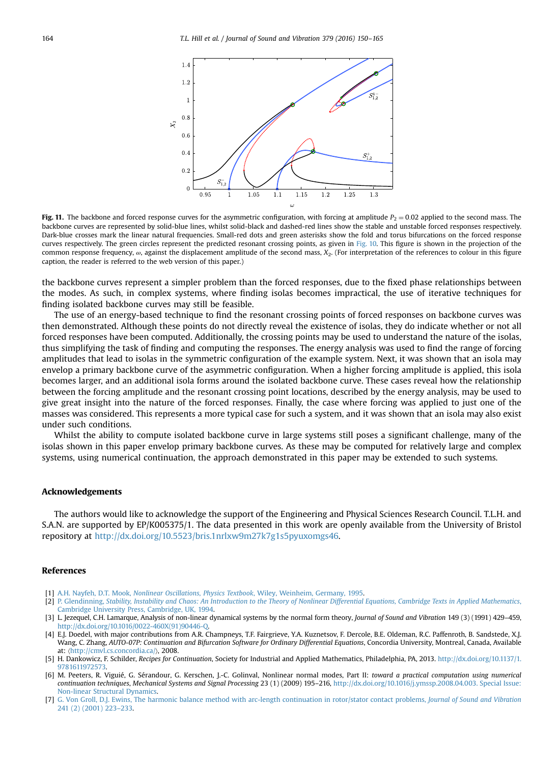<span id="page-14-0"></span>

Fig. 11. The backbone and forced response curves for the asymmetric configuration, with forcing at amplitude  $P_2 = 0.02$  applied to the second mass. The backbone curves are represented by solid-blue lines, whilst solid-black and dashed-red lines show the stable and unstable forced responses respectively. Dark-blue crosses mark the linear natural frequencies. Small-red dots and green asterisks show the fold and torus bifurcations on the forced response curves respectively. The green circles represent the predicted resonant crossing points, as given in [Fig. 10](#page-13-0). This figure is shown in the projection of the common response frequency,  $\omega$ , against the displacement amplitude of the second mass,  $X_2$ . (For interpretation of the references to colour in this figure caption, the reader is referred to the web version of this paper.)

the backbone curves represent a simpler problem than the forced responses, due to the fixed phase relationships between the modes. As such, in complex systems, where finding isolas becomes impractical, the use of iterative techniques for finding isolated backbone curves may still be feasible.

The use of an energy-based technique to find the resonant crossing points of forced responses on backbone curves was then demonstrated. Although these points do not directly reveal the existence of isolas, they do indicate whether or not all forced responses have been computed. Additionally, the crossing points may be used to understand the nature of the isolas, thus simplifying the task of finding and computing the responses. The energy analysis was used to find the range of forcing amplitudes that lead to isolas in the symmetric configuration of the example system. Next, it was shown that an isola may envelop a primary backbone curve of the asymmetric configuration. When a higher forcing amplitude is applied, this isola becomes larger, and an additional isola forms around the isolated backbone curve. These cases reveal how the relationship between the forcing amplitude and the resonant crossing point locations, described by the energy analysis, may be used to give great insight into the nature of the forced responses. Finally, the case where forcing was applied to just one of the masses was considered. This represents a more typical case for such a system, and it was shown that an isola may also exist under such conditions.

Whilst the ability to compute isolated backbone curve in large systems still poses a significant challenge, many of the isolas shown in this paper envelop primary backbone curves. As these may be computed for relatively large and complex systems, using numerical continuation, the approach demonstrated in this paper may be extended to such systems.

#### Acknowledgements

The authors would like to acknowledge the support of the Engineering and Physical Sciences Research Council. T.L.H. and S.A.N. are supported by EP/K005375/1. The data presented in this work are openly available from the University of Bristol repository at <http://dx.doi.org/10.5523/bris.1nrlxw9m27k7g1s5pyuxomgs46>.

### References

- [1] A.H. Nayfeh, D.T. Mook, [Nonlinear Oscillations, Physics Textbook](http://refhub.elsevier.com/S0022-460X(16)30166-3/sbref1), Wiley, Weinheim, Germany, 1995.
- [2] P. Glendinning, [Stability, Instability and Chaos: An Introduction to the Theory of Nonlinear Differential Equations, Cambridge Texts in Applied Mathematics](http://refhub.elsevier.com/S0022-460X(16)30166-3/sbref2), [Cambridge University Press, Cambridge, UK, 1994.](http://refhub.elsevier.com/S0022-460X(16)30166-3/sbref2)
- [3] L. Jezequel, C.H. Lamarque, Analysis of non-linear dynamical systems by the normal form theory, Journal of Sound and Vibration 149 (3) (1991) 429–459, [http://dx.doi.org/10.1016/0022-460X\(91\)90446-Q](http://dx.doi.org/10.1016/0022-460X(91)90446-Q).
- [4] E.J. Doedel, with major contributions from A.R. Champneys, T.F. Fairgrieve, Y.A. Kuznetsov, F. Dercole, B.E. Oldeman, R.C. Paffenroth, B. Sandstede, X.J. Wang, C. Zhang, AUTO-07P: Continuation and Bifurcation Software for Ordinary Differential Equations, Concordia University, Montreal, Canada, Available at: 〈<http://cmvl.cs.concordia.ca/>〉, 2008.
- [5] H. Dankowicz, F. Schilder, Recipes for Continuation, Society for Industrial and Applied Mathematics, Philadelphia, PA, 2013. [http://dx.doi.org/10.1137/1.](dx.doi.org/10.1137/1.9781611972573) [9781611972573.](dx.doi.org/10.1137/1.9781611972573)
- [6] M. Peeters, R. Viguié, G. Sérandour, G. Kerschen, J.-C. Golinval, Nonlinear normal modes, Part II: toward a practical computation using numerical continuation techniques, Mechanical Systems and Signal Processing 23 (1) (2009) 195–216, <http://dx.doi.org/10.1016/j.ymssp.2008.04.003>. Special Issue: Non-linear Structural Dynamics.
- [7] [G. Von Groll, D.J. Ewins, The harmonic balance method with arc-length continuation in rotor/stator contact problems,](http://refhub.elsevier.com/S0022-460X(16)30166-3/sbref7) Journal of Sound and Vibration [241 \(2\) \(2001\) 223](http://refhub.elsevier.com/S0022-460X(16)30166-3/sbref7)–233.